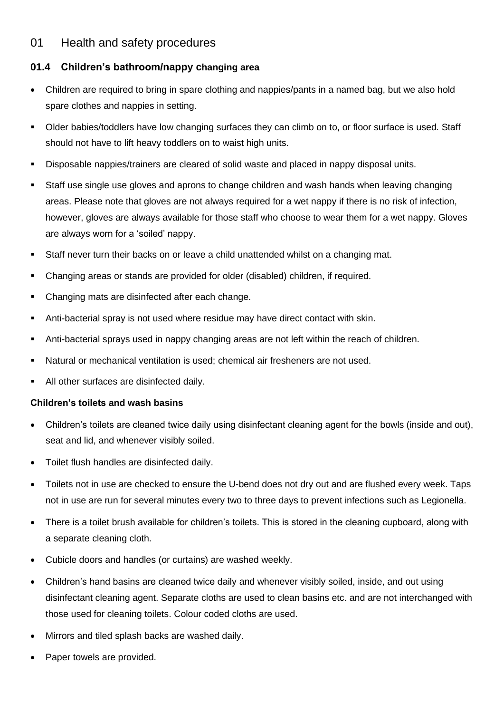## 01 Health and safety procedures

## **01.4 Children's bathroom/nappy changing area**

- Children are required to bring in spare clothing and nappies/pants in a named bag, but we also hold spare clothes and nappies in setting.
- Older babies/toddlers have low changing surfaces they can climb on to, or floor surface is used. Staff should not have to lift heavy toddlers on to waist high units.
- Disposable nappies/trainers are cleared of solid waste and placed in nappy disposal units.
- Staff use single use gloves and aprons to change children and wash hands when leaving changing areas. Please note that gloves are not always required for a wet nappy if there is no risk of infection, however, gloves are always available for those staff who choose to wear them for a wet nappy. Gloves are always worn for a 'soiled' nappy.
- Staff never turn their backs on or leave a child unattended whilst on a changing mat.
- Changing areas or stands are provided for older (disabled) children, if required.
- Changing mats are disinfected after each change.
- Anti-bacterial spray is not used where residue may have direct contact with skin.
- **•** Anti-bacterial sprays used in nappy changing areas are not left within the reach of children.
- Natural or mechanical ventilation is used; chemical air fresheners are not used.
- All other surfaces are disinfected daily.

## **Children's toilets and wash basins**

- Children's toilets are cleaned twice daily using disinfectant cleaning agent for the bowls (inside and out), seat and lid, and whenever visibly soiled.
- Toilet flush handles are disinfected daily.
- Toilets not in use are checked to ensure the U-bend does not dry out and are flushed every week. Taps not in use are run for several minutes every two to three days to prevent infections such as Legionella.
- There is a toilet brush available for children's toilets. This is stored in the cleaning cupboard, along with a separate cleaning cloth.
- Cubicle doors and handles (or curtains) are washed weekly.
- Children's hand basins are cleaned twice daily and whenever visibly soiled, inside, and out using disinfectant cleaning agent. Separate cloths are used to clean basins etc. and are not interchanged with those used for cleaning toilets. Colour coded cloths are used.
- Mirrors and tiled splash backs are washed daily.
- Paper towels are provided.